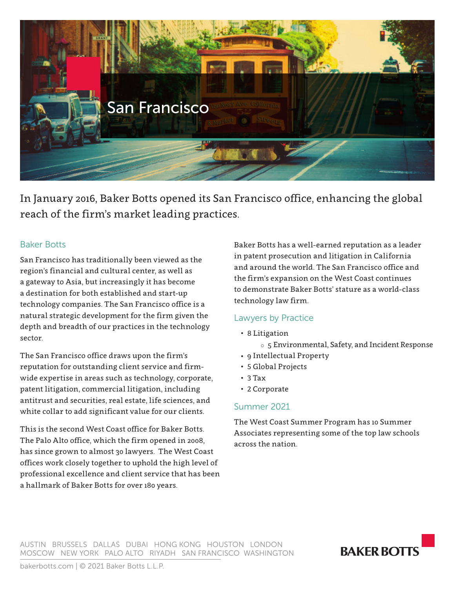

In January 2016, Baker Botts opened its San Francisco office, enhancing the global reach of the firm's market leading practices.

### Baker Botts

San Francisco has traditionally been viewed as the region's financial and cultural center, as well as a gateway to Asia, but increasingly it has become a destination for both established and start-up technology companies. The San Francisco office is a natural strategic development for the firm given the depth and breadth of our practices in the technology sector.

The San Francisco office draws upon the firm's reputation for outstanding client service and firmwide expertise in areas such as technology, corporate, patent litigation, commercial litigation, including antitrust and securities, real estate, life sciences, and white collar to add significant value for our clients.

This is the second West Coast office for Baker Botts. The Palo Alto office, which the firm opened in 2008, has since grown to almost 30 lawyers. The West Coast offices work closely together to uphold the high level of professional excellence and client service that has been a hallmark of Baker Botts for over 180 years.

Baker Botts has a well-earned reputation as a leader in patent prosecution and litigation in California and around the world. The San Francisco office and the firm's expansion on the West Coast continues to demonstrate Baker Botts' stature as a world-class technology law firm.

# Lawyers by Practice

• 8 Litigation

o 5 Environmental, Safety, and Incident Response

- 9 Intellectual Property
- 5 Global Projects
- 3 Tax
- 2 Corporate

### Summer 2021

The West Coast Summer Program has 10 Summer Associates representing some of the top law schools across the nation.